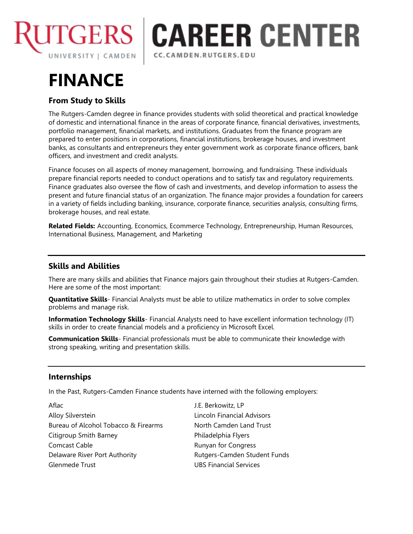

## **TGERS | CAREER CENTER** CC.CAMDEN.RUTGERS.EDU

# **FINANCE**

## **From Study to Skills**

The Rutgers-Camden degree in finance provides students with solid theoretical and practical knowledge of domestic and international finance in the areas of corporate finance, financial derivatives, investments, portfolio management, financial markets, and institutions. Graduates from the finance program are prepared to enter positions in corporations, financial institutions, brokerage houses, and investment banks, as consultants and entrepreneurs they enter government work as corporate finance officers, bank officers, and investment and credit analysts.

Finance focuses on all aspects of money management, borrowing, and fundraising. These individuals prepare financial reports needed to conduct operations and to satisfy tax and regulatory requirements. Finance graduates also oversee the flow of cash and investments, and develop information to assess the present and future financial status of an organization. The finance major provides a foundation for careers in a variety of fields including banking, insurance, corporate finance, securities analysis, consulting firms, brokerage houses, and real estate.

**Related Fields:** Accounting, Economics, Ecommerce Technology, Entrepreneurship, Human Resources, International Business, Management, and Marketing

## **Skills and Abilities**

There are many skills and abilities that Finance majors gain throughout their studies at Rutgers-Camden. Here are some of the most important:

**Quantitative Skills**- Financial Analysts must be able to utilize mathematics in order to solve complex problems and manage risk.

**Information Technology Skills**- Financial Analysts need to have excellent information technology (IT) skills in order to create financial models and a proficiency in Microsoft Excel.

**Communication Skills**- Financial professionals must be able to communicate their knowledge with strong speaking, writing and presentation skills.

### **Internships**

In the Past, Rutgers-Camden Finance students have interned with the following employers:

Aflac J.E. Berkowitz, LP Alloy Silverstein **Alloy Silverstein** Lincoln Financial Advisors Bureau of Alcohol Tobacco & Firearms North Camden Land Trust Citigroup Smith Barney **Example 2** Philadelphia Flyers Comcast Cable **Company Company Runyan for Congress** Delaware River Port Authority **Rutgers-Camden Student Funds** Glenmede Trust UBS Financial Services